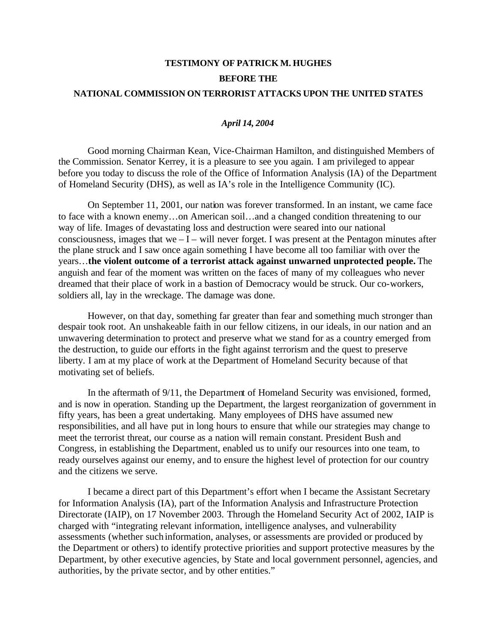## **TESTIMONY OF PATRICK M. HUGHES BEFORE THE NATIONAL COMMISSION ON TERRORIST ATTACKS UPON THE UNITED STATES**

## *April 14, 2004*

Good morning Chairman Kean, Vice-Chairman Hamilton, and distinguished Members of the Commission. Senator Kerrey, it is a pleasure to see you again. I am privileged to appear before you today to discuss the role of the Office of Information Analysis (IA) of the Department of Homeland Security (DHS), as well as IA's role in the Intelligence Community (IC).

On September 11, 2001, our nation was forever transformed. In an instant, we came face to face with a known enemy…on American soil…and a changed condition threatening to our way of life. Images of devastating loss and destruction were seared into our national consciousness, images that we  $-I$  – will never forget. I was present at the Pentagon minutes after the plane struck and I saw once again something I have become all too familiar with over the years…**the violent outcome of a terrorist attack against unwarned unprotected people.** The anguish and fear of the moment was written on the faces of many of my colleagues who never dreamed that their place of work in a bastion of Democracy would be struck. Our co-workers, soldiers all, lay in the wreckage. The damage was done.

However, on that day, something far greater than fear and something much stronger than despair took root. An unshakeable faith in our fellow citizens, in our ideals, in our nation and an unwavering determination to protect and preserve what we stand for as a country emerged from the destruction, to guide our efforts in the fight against terrorism and the quest to preserve liberty. I am at my place of work at the Department of Homeland Security because of that motivating set of beliefs.

In the aftermath of 9/11, the Department of Homeland Security was envisioned, formed, and is now in operation. Standing up the Department, the largest reorganization of government in fifty years, has been a great undertaking. Many employees of DHS have assumed new responsibilities, and all have put in long hours to ensure that while our strategies may change to meet the terrorist threat, our course as a nation will remain constant. President Bush and Congress, in establishing the Department, enabled us to unify our resources into one team, to ready ourselves against our enemy, and to ensure the highest level of protection for our country and the citizens we serve.

I became a direct part of this Department's effort when I became the Assistant Secretary for Information Analysis (IA), part of the Information Analysis and Infrastructure Protection Directorate (IAIP), on 17 November 2003. Through the Homeland Security Act of 2002, IAIP is charged with "integrating relevant information, intelligence analyses, and vulnerability assessments (whether such information, analyses, or assessments are provided or produced by the Department or others) to identify protective priorities and support protective measures by the Department, by other executive agencies, by State and local government personnel, agencies, and authorities, by the private sector, and by other entities."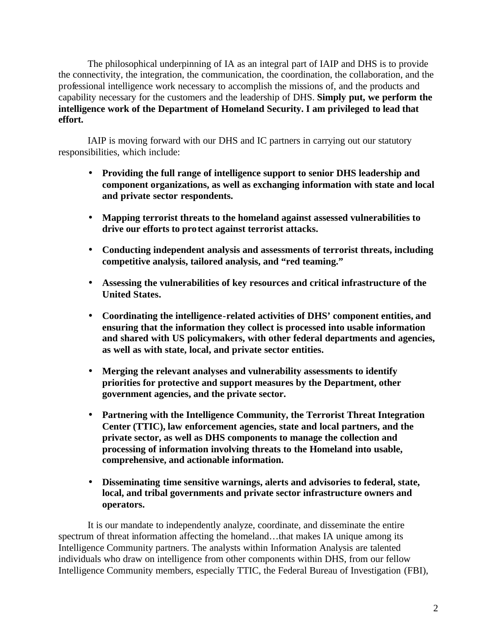The philosophical underpinning of IA as an integral part of IAIP and DHS is to provide the connectivity, the integration, the communication, the coordination, the collaboration, and the professional intelligence work necessary to accomplish the missions of, and the products and capability necessary for the customers and the leadership of DHS. **Simply put, we perform the intelligence work of the Department of Homeland Security. I am privileged to lead that effort.**

IAIP is moving forward with our DHS and IC partners in carrying out our statutory responsibilities, which include:

- **Providing the full range of intelligence support to senior DHS leadership and component organizations, as well as exchanging information with state and local and private sector respondents.**
- **Mapping terrorist threats to the homeland against assessed vulnerabilities to drive our efforts to protect against terrorist attacks.**
- **Conducting independent analysis and assessments of terrorist threats, including competitive analysis, tailored analysis, and "red teaming."**
- **Assessing the vulnerabilities of key resources and critical infrastructure of the United States.**
- **Coordinating the intelligence-related activities of DHS' component entities, and ensuring that the information they collect is processed into usable information and shared with US policymakers, with other federal departments and agencies, as well as with state, local, and private sector entities.**
- **Merging the relevant analyses and vulnerability assessments to identify priorities for protective and support measures by the Department, other government agencies, and the private sector.**
- **Partnering with the Intelligence Community, the Terrorist Threat Integration Center (TTIC), law enforcement agencies, state and local partners, and the private sector, as well as DHS components to manage the collection and processing of information involving threats to the Homeland into usable, comprehensive, and actionable information.**
- **Disseminating time sensitive warnings, alerts and advisories to federal, state, local, and tribal governments and private sector infrastructure owners and operators.**

It is our mandate to independently analyze, coordinate, and disseminate the entire spectrum of threat information affecting the homeland...that makes IA unique among its Intelligence Community partners. The analysts within Information Analysis are talented individuals who draw on intelligence from other components within DHS, from our fellow Intelligence Community members, especially TTIC, the Federal Bureau of Investigation (FBI),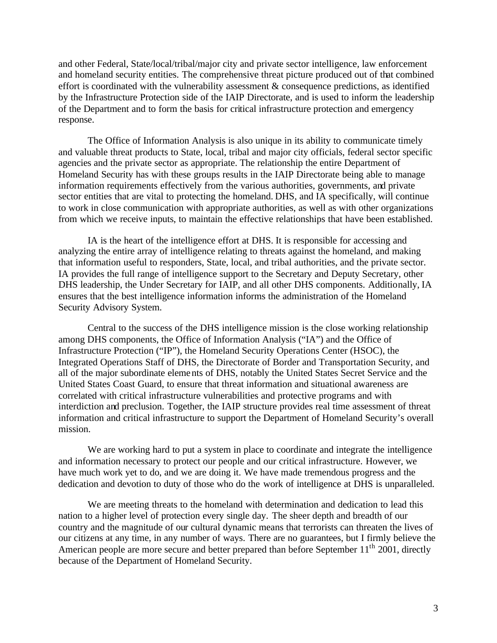and other Federal, State/local/tribal/major city and private sector intelligence, law enforcement and homeland security entities. The comprehensive threat picture produced out of that combined effort is coordinated with the vulnerability assessment & consequence predictions, as identified by the Infrastructure Protection side of the IAIP Directorate, and is used to inform the leadership of the Department and to form the basis for critical infrastructure protection and emergency response.

The Office of Information Analysis is also unique in its ability to communicate timely and valuable threat products to State, local, tribal and major city officials, federal sector specific agencies and the private sector as appropriate. The relationship the entire Department of Homeland Security has with these groups results in the IAIP Directorate being able to manage information requirements effectively from the various authorities, governments, and private sector entities that are vital to protecting the homeland. DHS, and IA specifically, will continue to work in close communication with appropriate authorities, as well as with other organizations from which we receive inputs, to maintain the effective relationships that have been established.

IA is the heart of the intelligence effort at DHS. It is responsible for accessing and analyzing the entire array of intelligence relating to threats against the homeland, and making that information useful to responders, State, local, and tribal authorities, and the private sector. IA provides the full range of intelligence support to the Secretary and Deputy Secretary, other DHS leadership, the Under Secretary for IAIP, and all other DHS components. Additionally, IA ensures that the best intelligence information informs the administration of the Homeland Security Advisory System.

Central to the success of the DHS intelligence mission is the close working relationship among DHS components, the Office of Information Analysis ("IA") and the Office of Infrastructure Protection ("IP"), the Homeland Security Operations Center (HSOC), the Integrated Operations Staff of DHS, the Directorate of Border and Transportation Security, and all of the major subordinate elements of DHS, notably the United States Secret Service and the United States Coast Guard, to ensure that threat information and situational awareness are correlated with critical infrastructure vulnerabilities and protective programs and with interdiction and preclusion. Together, the IAIP structure provides real time assessment of threat information and critical infrastructure to support the Department of Homeland Security's overall mission.

We are working hard to put a system in place to coordinate and integrate the intelligence and information necessary to protect our people and our critical infrastructure. However, we have much work yet to do, and we are doing it. We have made tremendous progress and the dedication and devotion to duty of those who do the work of intelligence at DHS is unparalleled.

We are meeting threats to the homeland with determination and dedication to lead this nation to a higher level of protection every single day. The sheer depth and breadth of our country and the magnitude of our cultural dynamic means that terrorists can threaten the lives of our citizens at any time, in any number of ways. There are no guarantees, but I firmly believe the American people are more secure and better prepared than before September  $11<sup>th</sup>$  2001, directly because of the Department of Homeland Security.